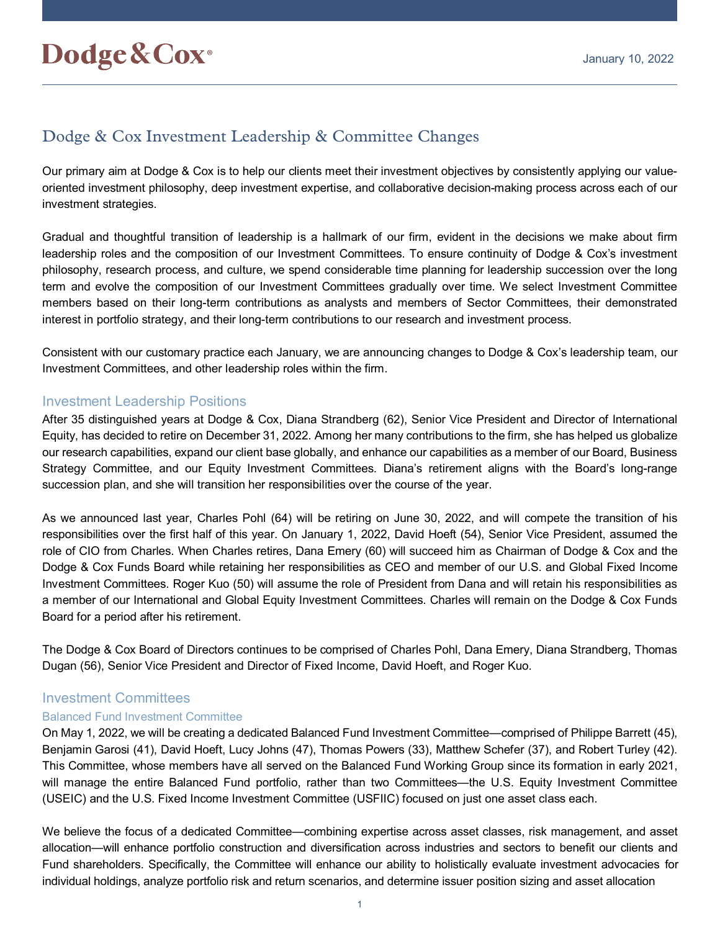# Dodge & Cox Investment Leadership & Committee Changes

Our primary aim at Dodge & Cox is to help our clients meet their investment objectives by consistently applying our valueoriented investment philosophy, deep investment expertise, and collaborative decision-making process across each of our investment strategies.

Gradual and thoughtful transition of leadership is a hallmark of our firm, evident in the decisions we make about firm leadership roles and the composition of our Investment Committees. To ensure continuity of Dodge & Cox's investment philosophy, research process, and culture, we spend considerable time planning for leadership succession over the long term and evolve the composition of our Investment Committees gradually over time. We select Investment Committee members based on their long-term contributions as analysts and members of Sector Committees, their demonstrated interest in portfolio strategy, and their long-term contributions to our research and investment process.

Consistent with our customary practice each January, we are announcing changes to Dodge & Cox's leadership team, our Investment Committees, and other leadership roles within the firm.

# Investment Leadership Positions

After 35 distinguished years at Dodge & Cox, Diana Strandberg (62), Senior Vice President and Director of International Equity, has decided to retire on December 31, 2022. Among her many contributions to the firm, she has helped us globalize our research capabilities, expand our client base globally, and enhance our capabilities as a member of our Board, Business Strategy Committee, and our Equity Investment Committees. Diana's retirement aligns with the Board's long-range succession plan, and she will transition her responsibilities over the course of the year.

As we announced last year, Charles Pohl (64) will be retiring on June 30, 2022, and will compete the transition of his responsibilities over the first half of this year. On January 1, 2022, David Hoeft (54), Senior Vice President, assumed the role of CIO from Charles. When Charles retires, Dana Emery (60) will succeed him as Chairman of Dodge & Cox and the Dodge & Cox Funds Board while retaining her responsibilities as CEO and member of our U.S. and Global Fixed Income Investment Committees. Roger Kuo (50) will assume the role of President from Dana and will retain his responsibilities as a member of our International and Global Equity Investment Committees. Charles will remain on the Dodge & Cox Funds Board for a period after his retirement.

The Dodge & Cox Board of Directors continues to be comprised of Charles Pohl, Dana Emery, Diana Strandberg, Thomas Dugan (56), Senior Vice President and Director of Fixed Income, David Hoeft, and Roger Kuo.

# Investment Committees

# Balanced Fund Investment Committee

On May 1, 2022, we will be creating a dedicated Balanced Fund Investment Committee—comprised of Philippe Barrett (45), Benjamin Garosi (41), David Hoeft, Lucy Johns (47), Thomas Powers (33), Matthew Schefer (37), and Robert Turley (42). This Committee, whose members have all served on the Balanced Fund Working Group since its formation in early 2021, will manage the entire Balanced Fund portfolio, rather than two Committees—the U.S. Equity Investment Committee (USEIC) and the U.S. Fixed Income Investment Committee (USFIIC) focused on just one asset class each.

We believe the focus of a dedicated Committee—combining expertise across asset classes, risk management, and asset allocation—will enhance portfolio construction and diversification across industries and sectors to benefit our clients and Fund shareholders. Specifically, the Committee will enhance our ability to holistically evaluate investment advocacies for individual holdings, analyze portfolio risk and return scenarios, and determine issuer position sizing and asset allocation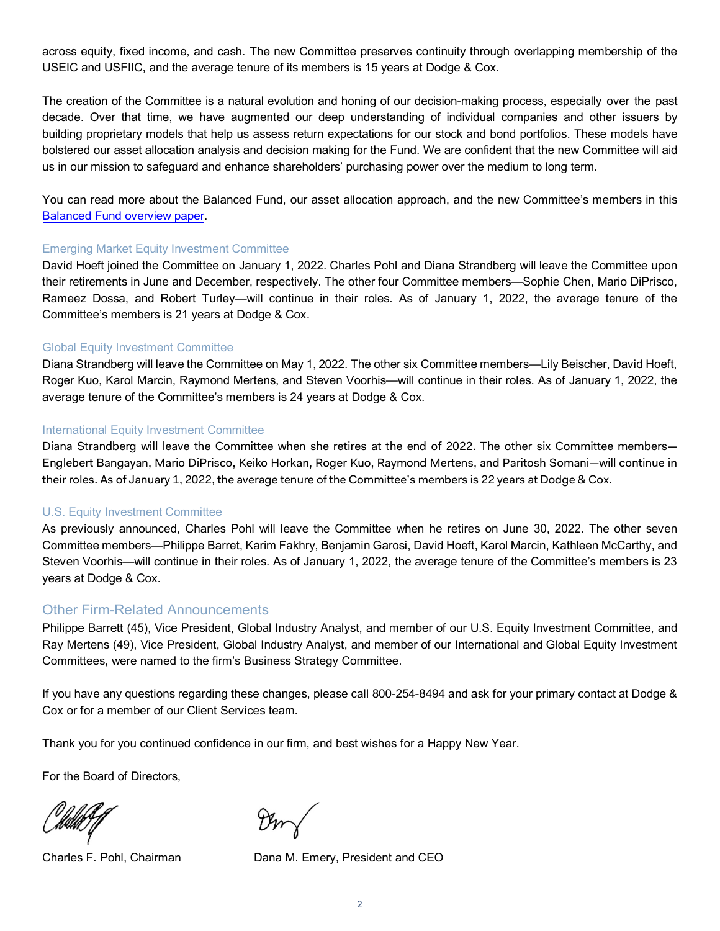across equity, fixed income, and cash. The new Committee preserves continuity through overlapping membership of the USEIC and USFIIC, and the average tenure of its members is 15 years at Dodge & Cox.

The creation of the Committee is a natural evolution and honing of our decision-making process, especially over the past decade. Over that time, we have augmented our deep understanding of individual companies and other issuers by building proprietary models that help us assess return expectations for our stock and bond portfolios. These models have bolstered our asset allocation analysis and decision making for the Fund. We are confident that the new Committee will aid us in our mission to safeguard and enhance shareholders' purchasing power over the medium to long term.

You can read more about the Balanced Fund, our asset allocation approach, and the new Committee's members in this [Balanced Fund overview paper.](https://www.dodgeandcox.com/pdf/white_papers/balanced_fund_evolving_our_approach.pdf)

## Emerging Market Equity Investment Committee

David Hoeft joined the Committee on January 1, 2022. Charles Pohl and Diana Strandberg will leave the Committee upon their retirements in June and December, respectively. The other four Committee members—Sophie Chen, Mario DiPrisco, Rameez Dossa, and Robert Turley—will continue in their roles. As of January 1, 2022, the average tenure of the Committee's members is 21 years at Dodge & Cox.

## Global Equity Investment Committee

Diana Strandberg will leave the Committee on May 1, 2022. The other six Committee members—Lily Beischer, David Hoeft, Roger Kuo, Karol Marcin, Raymond Mertens, and Steven Voorhis—will continue in their roles. As of January 1, 2022, the average tenure of the Committee's members is 24 years at Dodge & Cox.

## International Equity Investment Committee

Diana Strandberg will leave the Committee when she retires at the end of 2022. The other six Committee members— Englebert Bangayan, Mario DiPrisco, Keiko Horkan, Roger Kuo, Raymond Mertens, and Paritosh Somani—will continue in their roles. As of January 1, 2022, the average tenure of the Committee's members is 22 years at Dodge & Cox.

## U.S. Equity Investment Committee

As previously announced, Charles Pohl will leave the Committee when he retires on June 30, 2022. The other seven Committee members—Philippe Barret, Karim Fakhry, Benjamin Garosi, David Hoeft, Karol Marcin, Kathleen McCarthy, and Steven Voorhis—will continue in their roles. As of January 1, 2022, the average tenure of the Committee's members is 23 years at Dodge & Cox.

# Other Firm-Related Announcements

Philippe Barrett (45), Vice President, Global Industry Analyst, and member of our U.S. Equity Investment Committee, and Ray Mertens (49), Vice President, Global Industry Analyst, and member of our International and Global Equity Investment Committees, were named to the firm's Business Strategy Committee.

If you have any questions regarding these changes, please call 800-254-8494 and ask for your primary contact at Dodge & Cox or for a member of our Client Services team.

Thank you for you continued confidence in our firm, and best wishes for a Happy New Year.

For the Board of Directors,

Charles F. Pohl, Chairman Dana M. Emery, President and CEO